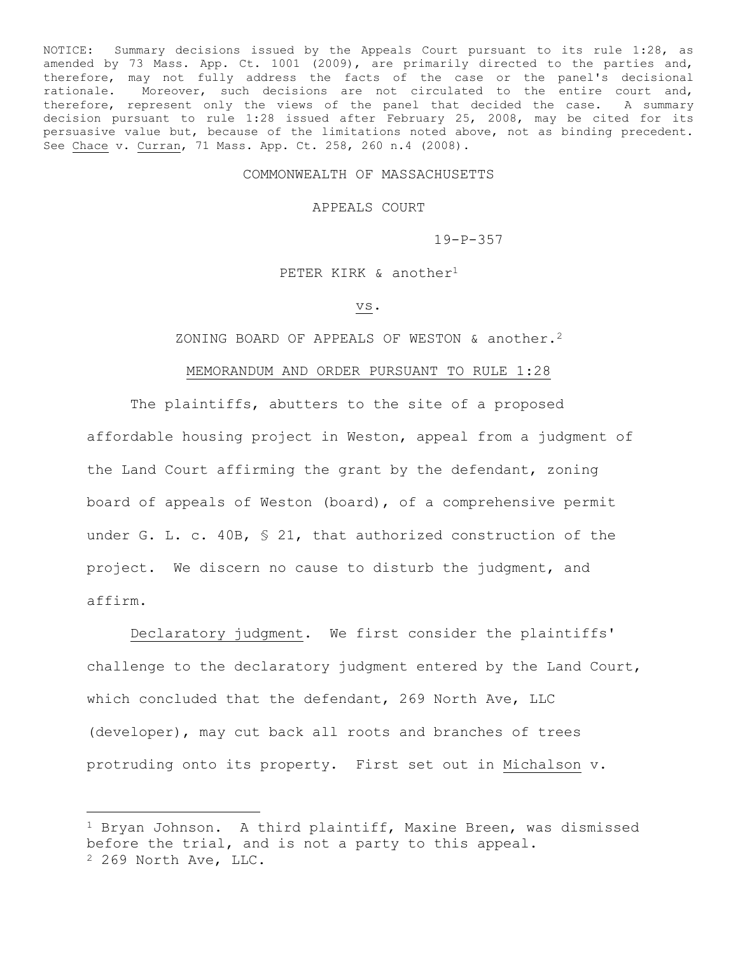NOTICE: Summary decisions issued by the Appeals Court pursuant to its rule 1:28, as amended by 73 Mass. App. Ct. 1001 (2009), are primarily directed to the parties and, therefore, may not fully address the facts of the case or the panel's decisional rationale. Moreover, such decisions are not circulated to the entire court and, therefore, represent only the views of the panel that decided the case. A summary decision pursuant to rule 1:28 issued after February 25, 2008, may be cited for its persuasive value but, because of the limitations noted above, not as binding precedent. See Chace v. Curran, 71 Mass. App. Ct. 258, 260 n.4 (2008).

## COMMONWEALTH OF MASSACHUSETTS

APPEALS COURT

19-P-357

PETER KIRK & another<sup>1</sup>

vs.

ZONING BOARD OF APPEALS OF WESTON & another.<sup>2</sup>

## MEMORANDUM AND ORDER PURSUANT TO RULE 1:28

The plaintiffs, abutters to the site of a proposed affordable housing project in Weston, appeal from a judgment of the Land Court affirming the grant by the defendant, zoning board of appeals of Weston (board), of a comprehensive permit under G. L. c. 40B, § 21, that authorized construction of the project. We discern no cause to disturb the judgment, and affirm.

Declaratory judgment. We first consider the plaintiffs' challenge to the declaratory judgment entered by the Land Court, which concluded that the defendant, 269 North Ave, LLC (developer), may cut back all roots and branches of trees protruding onto its property. First set out in Michalson v.

÷.

<sup>1</sup> Bryan Johnson. A third plaintiff, Maxine Breen, was dismissed before the trial, and is not a party to this appeal. <sup>2</sup> 269 North Ave, LLC.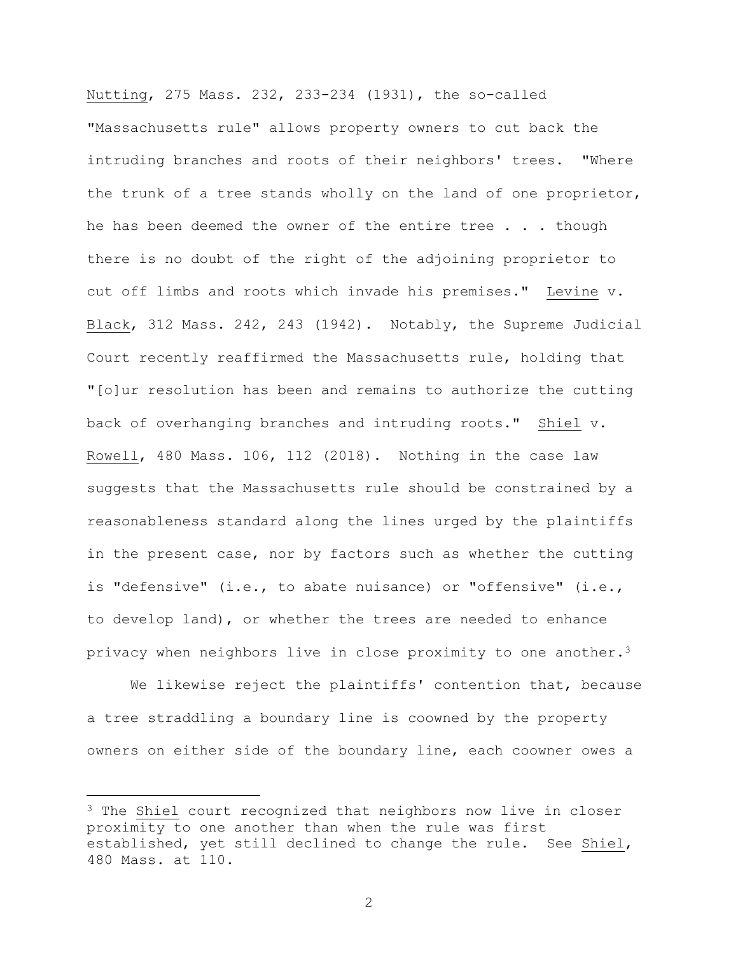Nutting, 275 Mass. 232, 233-234 (1931), the so-called "Massachusetts rule" allows property owners to cut back the intruding branches and roots of their neighbors' trees. "Where the trunk of a tree stands wholly on the land of one proprietor, he has been deemed the owner of the entire tree . . . though there is no doubt of the right of the adjoining proprietor to cut off limbs and roots which invade his premises." Levine v. Black, 312 Mass. 242, 243 (1942). Notably, the Supreme Judicial Court recently reaffirmed the Massachusetts rule, holding that "[o]ur resolution has been and remains to authorize the cutting back of overhanging branches and intruding roots." Shiel v. Rowell, 480 Mass. 106, 112 (2018). Nothing in the case law suggests that the Massachusetts rule should be constrained by a reasonableness standard along the lines urged by the plaintiffs in the present case, nor by factors such as whether the cutting is "defensive" (i.e., to abate nuisance) or "offensive" (i.e., to develop land), or whether the trees are needed to enhance privacy when neighbors live in close proximity to one another.<sup>3</sup>

We likewise reject the plaintiffs' contention that, because a tree straddling a boundary line is coowned by the property owners on either side of the boundary line, each coowner owes a

÷.

2

<sup>&</sup>lt;sup>3</sup> The Shiel court recognized that neighbors now live in closer proximity to one another than when the rule was first established, yet still declined to change the rule. See Shiel, 480 Mass. at 110.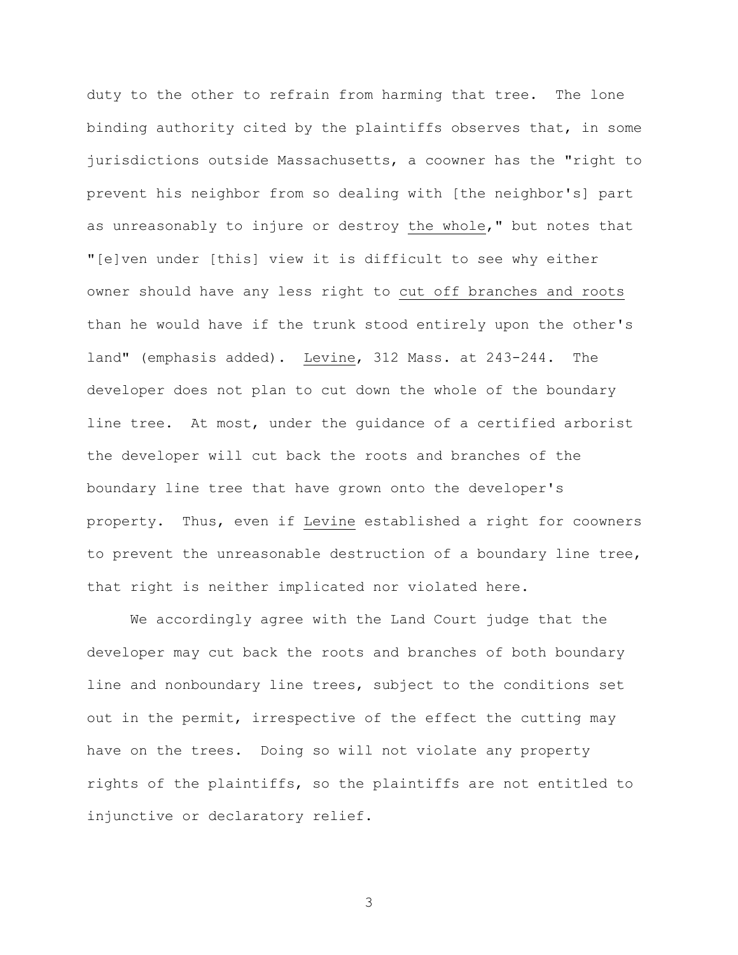duty to the other to refrain from harming that tree. The lone binding authority cited by the plaintiffs observes that, in some jurisdictions outside Massachusetts, a coowner has the "right to prevent his neighbor from so dealing with [the neighbor's] part as unreasonably to injure or destroy the whole," but notes that "[e]ven under [this] view it is difficult to see why either owner should have any less right to cut off branches and roots than he would have if the trunk stood entirely upon the other's land" (emphasis added). Levine, 312 Mass. at 243-244. The developer does not plan to cut down the whole of the boundary line tree. At most, under the guidance of a certified arborist the developer will cut back the roots and branches of the boundary line tree that have grown onto the developer's property. Thus, even if Levine established a right for coowners to prevent the unreasonable destruction of a boundary line tree, that right is neither implicated nor violated here.

We accordingly agree with the Land Court judge that the developer may cut back the roots and branches of both boundary line and nonboundary line trees, subject to the conditions set out in the permit, irrespective of the effect the cutting may have on the trees. Doing so will not violate any property rights of the plaintiffs, so the plaintiffs are not entitled to injunctive or declaratory relief.

3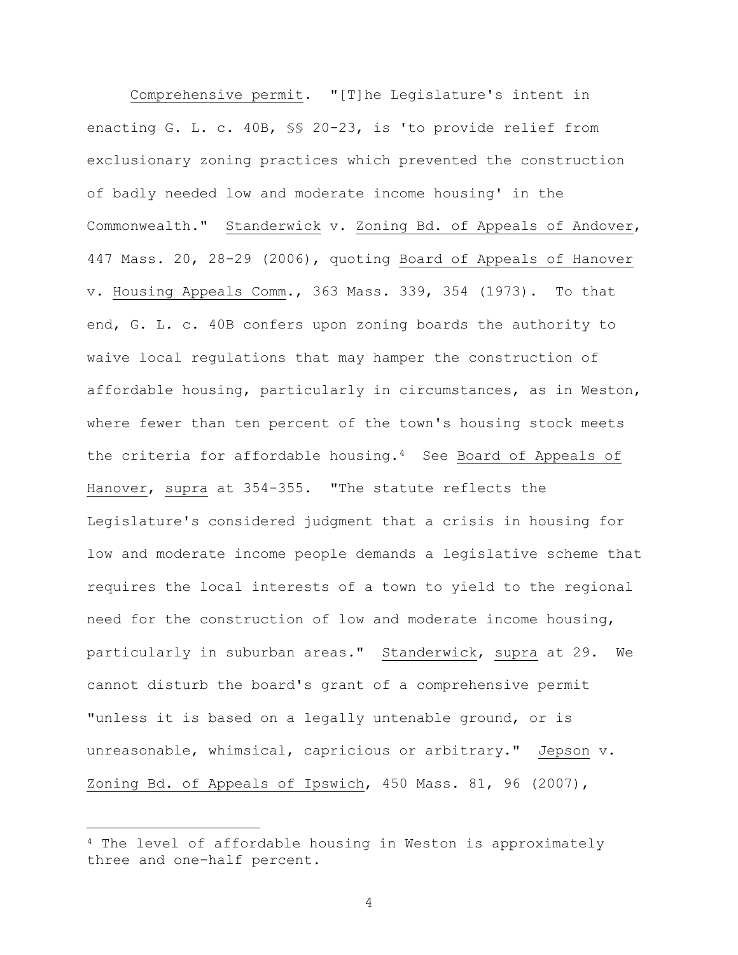Comprehensive permit. "[T]he Legislature's intent in enacting G. L. c. 40B, §§ 20-23, is 'to provide relief from exclusionary zoning practices which prevented the construction of badly needed low and moderate income housing' in the Commonwealth." Standerwick v. Zoning Bd. of Appeals of Andover, 447 Mass. 20, 28-29 (2006), quoting Board of Appeals of Hanover v. Housing Appeals Comm., 363 Mass. 339, 354 (1973). To that end, G. L. c. 40B confers upon zoning boards the authority to waive local regulations that may hamper the construction of affordable housing, particularly in circumstances, as in Weston, where fewer than ten percent of the town's housing stock meets the criteria for affordable housing.<sup>4</sup> See Board of Appeals of Hanover, supra at 354-355. "The statute reflects the Legislature's considered judgment that a crisis in housing for low and moderate income people demands a legislative scheme that requires the local interests of a town to yield to the regional need for the construction of low and moderate income housing, particularly in suburban areas." Standerwick, supra at 29. We cannot disturb the board's grant of a comprehensive permit "unless it is based on a legally untenable ground, or is unreasonable, whimsical, capricious or arbitrary." Jepson v. Zoning Bd. of Appeals of Ipswich, 450 Mass. 81, 96 (2007),

÷.

4

<sup>4</sup> The level of affordable housing in Weston is approximately three and one-half percent.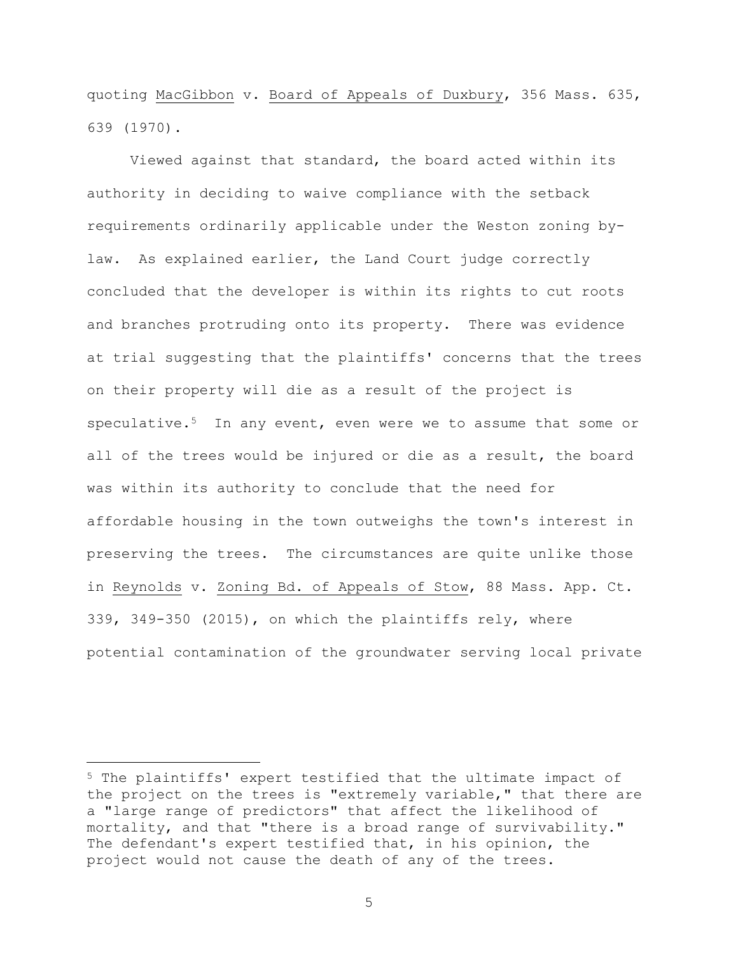quoting MacGibbon v. Board of Appeals of Duxbury, 356 Mass. 635, 639 (1970).

Viewed against that standard, the board acted within its authority in deciding to waive compliance with the setback requirements ordinarily applicable under the Weston zoning bylaw. As explained earlier, the Land Court judge correctly concluded that the developer is within its rights to cut roots and branches protruding onto its property. There was evidence at trial suggesting that the plaintiffs' concerns that the trees on their property will die as a result of the project is speculative.<sup>5</sup> In any event, even were we to assume that some or all of the trees would be injured or die as a result, the board was within its authority to conclude that the need for affordable housing in the town outweighs the town's interest in preserving the trees. The circumstances are quite unlike those in Reynolds v. Zoning Bd. of Appeals of Stow, 88 Mass. App. Ct. 339, 349-350 (2015), on which the plaintiffs rely, where potential contamination of the groundwater serving local private

L,

<sup>5</sup> The plaintiffs' expert testified that the ultimate impact of the project on the trees is "extremely variable," that there are a "large range of predictors" that affect the likelihood of mortality, and that "there is a broad range of survivability." The defendant's expert testified that, in his opinion, the project would not cause the death of any of the trees.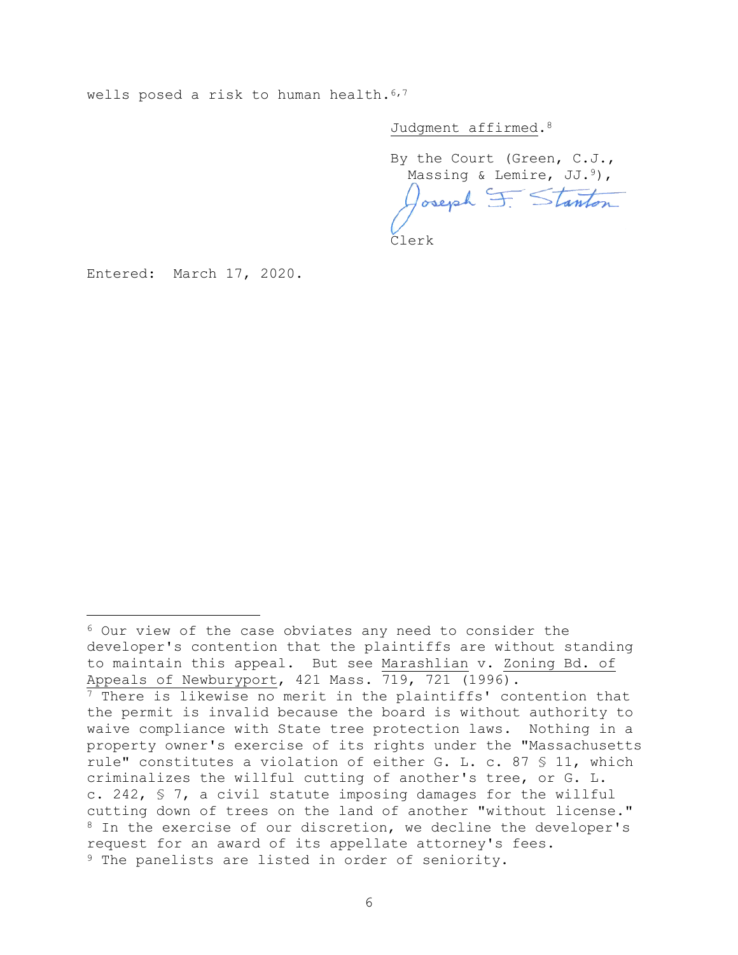wells posed a risk to human health.<sup>6,7</sup>

Judgment affirmed.<sup>8</sup>

By the Court (Green, C.J., Massing & Lemire, JJ.<sup>9</sup>), Joseph F. Stanton

Clerk

Entered: March 17, 2020.

÷.

<sup>6</sup> Our view of the case obviates any need to consider the developer's contention that the plaintiffs are without standing to maintain this appeal. But see Marashlian v. Zoning Bd. of Appeals of Newburyport, 421 Mass. 719, 721 (1996).

<sup>7</sup> There is likewise no merit in the plaintiffs' contention that the permit is invalid because the board is without authority to waive compliance with State tree protection laws. Nothing in a property owner's exercise of its rights under the "Massachusetts rule" constitutes a violation of either G. L. c. 87 § 11, which criminalizes the willful cutting of another's tree, or G. L. c. 242, § 7, a civil statute imposing damages for the willful cutting down of trees on the land of another "without license." 8 In the exercise of our discretion, we decline the developer's request for an award of its appellate attorney's fees. <sup>9</sup> The panelists are listed in order of seniority.